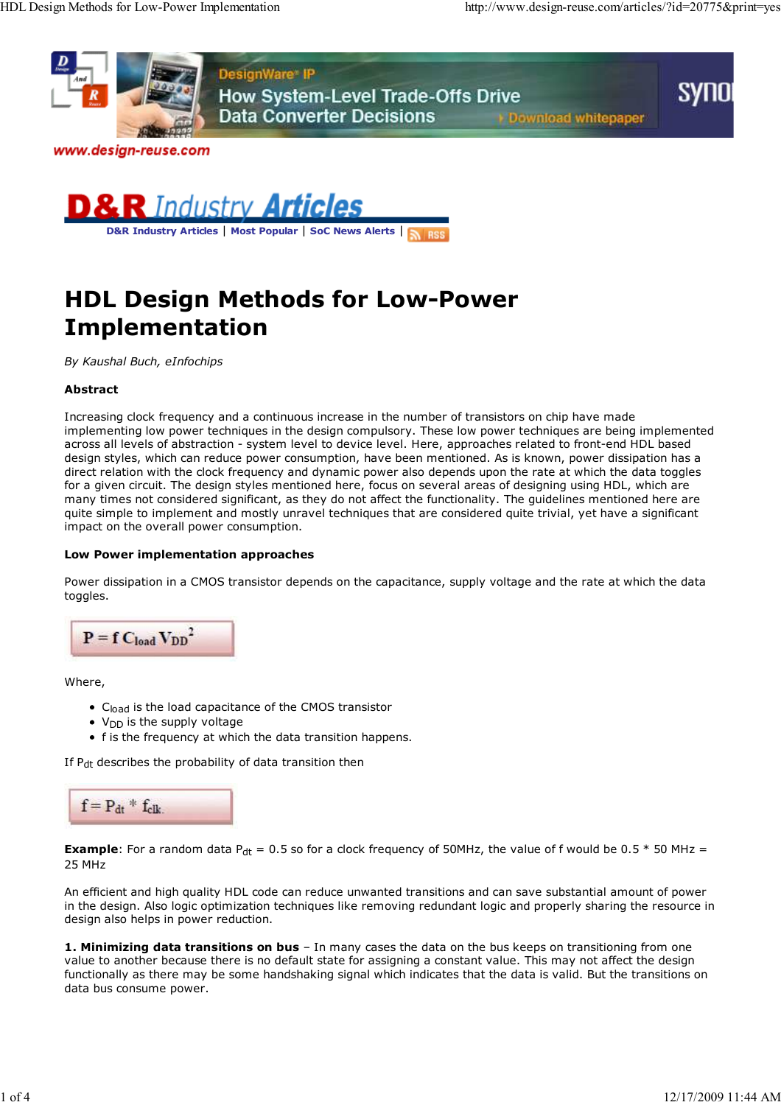



**D&R Industry Articles** | **Most Popular** | **SoC News Alerts** |

# **HDL Design Methods for Low-Power Implementation**

*By Kaushal Buch, eInfochips*

### **Abstract**

Increasing clock frequency and a continuous increase in the number of transistors on chip have made implementing low power techniques in the design compulsory. These low power techniques are being implemented across all levels of abstraction - system level to device level. Here, approaches related to front-end HDL based design styles, which can reduce power consumption, have been mentioned. As is known, power dissipation has a direct relation with the clock frequency and dynamic power also depends upon the rate at which the data toggles for a given circuit. The design styles mentioned here, focus on several areas of designing using HDL, which are many times not considered significant, as they do not affect the functionality. The guidelines mentioned here are quite simple to implement and mostly unravel techniques that are considered quite trivial, yet have a significant impact on the overall power consumption.

#### **Low Power implementation approaches**

Power dissipation in a CMOS transistor depends on the capacitance, supply voltage and the rate at which the data toggles.



Where,

- C<sub>load</sub> is the load capacitance of the CMOS transistor
- $\bullet$  V<sub>DD</sub> is the supply voltage
- f is the frequency at which the data transition happens.

If P<sub>dt</sub> describes the probability of data transition then



**Example**: For a random data  $P_{dt} = 0.5$  so for a clock frequency of 50MHz, the value of f would be  $0.5 * 50$  MHz = 25 MHz

An efficient and high quality HDL code can reduce unwanted transitions and can save substantial amount of power in the design. Also logic optimization techniques like removing redundant logic and properly sharing the resource in design also helps in power reduction.

**1. Minimizing data transitions on bus** – In many cases the data on the bus keeps on transitioning from one value to another because there is no default state for assigning a constant value. This may not affect the design functionally as there may be some handshaking signal which indicates that the data is valid. But the transitions on data bus consume power.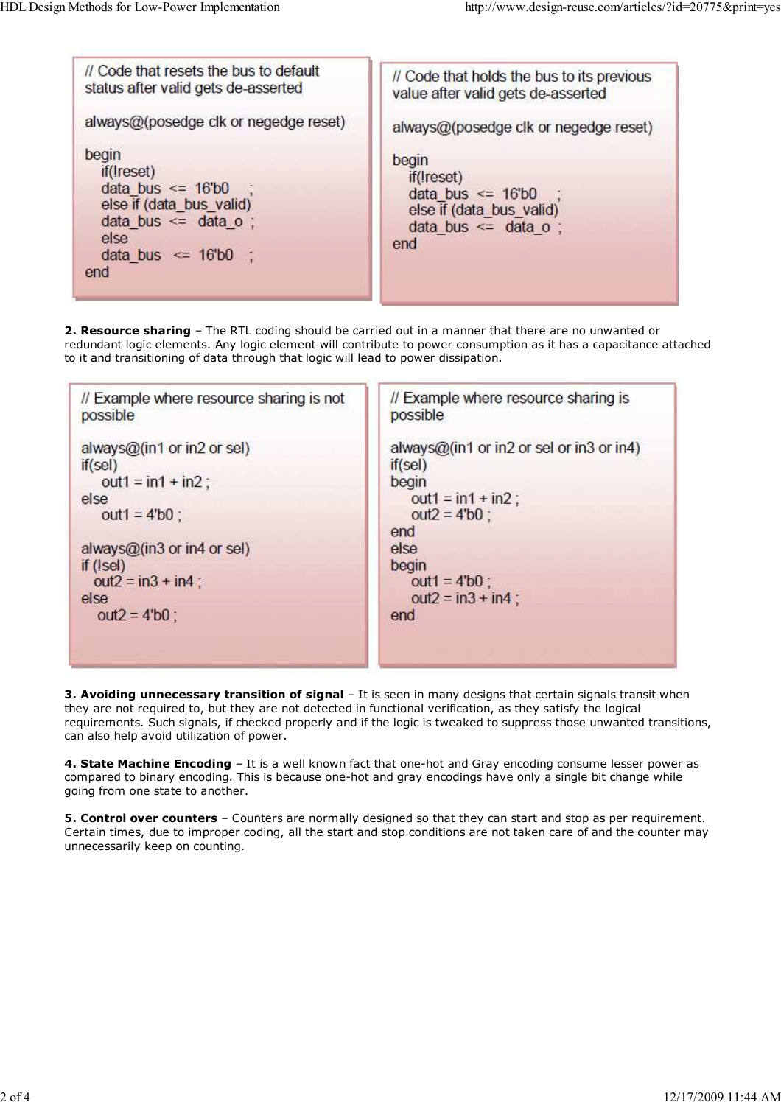| // Code that resets the bus to default<br>status after valid gets de-asserted                                                                   | // Code that holds the bus to its previous<br>value after valid gets de-asserted                            |  |  |
|-------------------------------------------------------------------------------------------------------------------------------------------------|-------------------------------------------------------------------------------------------------------------|--|--|
| always@(posedge clk or negedge reset)                                                                                                           | always@(posedge clk or negedge reset)                                                                       |  |  |
| begin<br>if(Ireset)<br>data bus $\le$ 16'b0 :<br>else if (data bus valid)<br>data bus $\leq$ data o :<br>else<br>data bus $\leq$ 16'b0 ;<br>end | begin<br>if(Ireset)<br>data bus $\leq$ 16'b0<br>else if (data bus valid)<br>data bus $\leq$ data o :<br>end |  |  |

**2. Resource sharing** – The RTL coding should be carried out in a manner that there are no unwanted or redundant logic elements. Any logic element will contribute to power consumption as it has a capacitance attached to it and transitioning of data through that logic will lead to power dissipation.



**3. Avoiding unnecessary transition of signal** – It is seen in many designs that certain signals transit when they are not required to, but they are not detected in functional verification, as they satisfy the logical requirements. Such signals, if checked properly and if the logic is tweaked to suppress those unwanted transitions, can also help avoid utilization of power.

**4. State Machine Encoding** – It is a well known fact that one-hot and Gray encoding consume lesser power as compared to binary encoding. This is because one-hot and gray encodings have only a single bit change while going from one state to another.

**5. Control over counters** – Counters are normally designed so that they can start and stop as per requirement. Certain times, due to improper coding, all the start and stop conditions are not taken care of and the counter may unnecessarily keep on counting.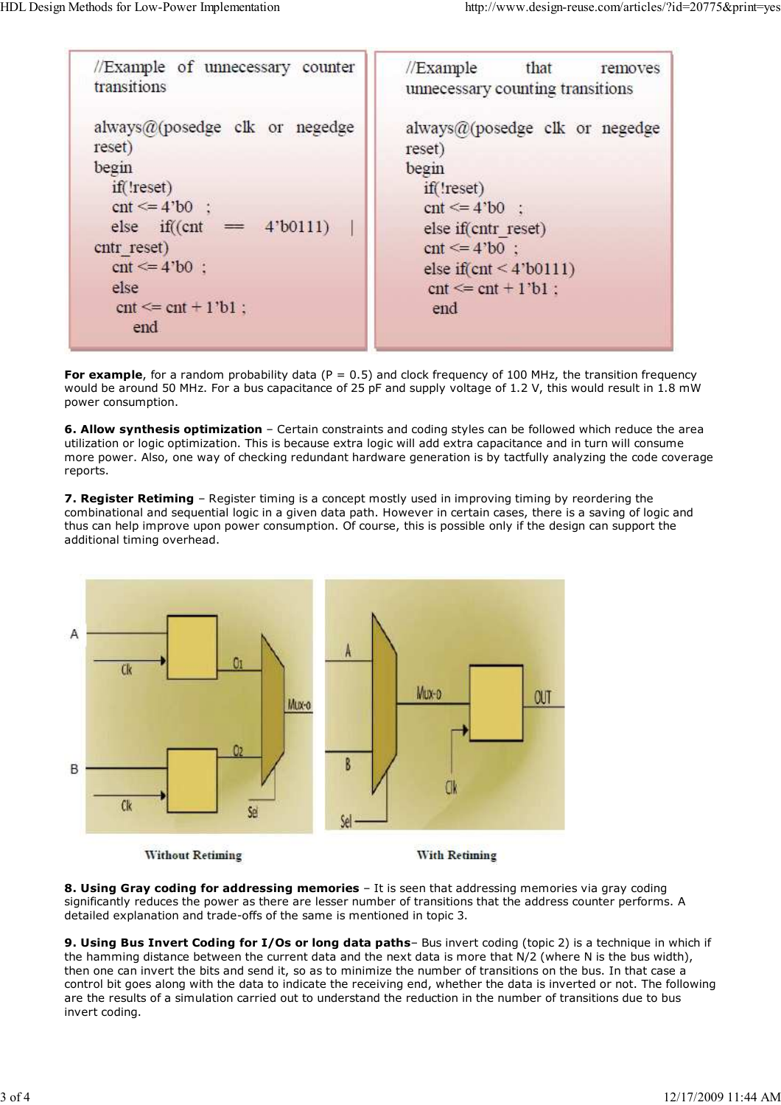| //Example of unnecessary counter<br>transitions                                                                                                                                                                                    | $\sqrt{\frac{1}{2}}$ Example that<br>removes<br>unnecessary counting transitions                                                                                                                                    |  |  |
|------------------------------------------------------------------------------------------------------------------------------------------------------------------------------------------------------------------------------------|---------------------------------------------------------------------------------------------------------------------------------------------------------------------------------------------------------------------|--|--|
| always@(posedge clk or negedge<br>reset)<br>begin<br>if(!reset)<br>$cnt \le 4'$ b <sup>0</sup> :<br>else if( $(\text{cnt} = 4' \text{b} 0111)$ )<br>cntr reset)<br>$cnt \leq 4'$ b $0$ :<br>else<br>$cnt \leq ent + 1'b1$ ;<br>end | always $@$ (posedge clk or negedge<br>reset)<br>begin<br>if('reset)<br>$cnt \le 4$ 'b0 :<br>else if(cntr reset)<br>$cnt \leq 4$ 'b0 :<br>else if $(\text{cnt} < 4 \text{'b}0111)$<br>$cnt \leq ent + 1'b1$ :<br>end |  |  |

**For example**, for a random probability data ( $P = 0.5$ ) and clock frequency of 100 MHz, the transition frequency would be around 50 MHz. For a bus capacitance of 25 pF and supply voltage of 1.2 V, this would result in 1.8 mW power consumption.

**6. Allow synthesis optimization** – Certain constraints and coding styles can be followed which reduce the area utilization or logic optimization. This is because extra logic will add extra capacitance and in turn will consume more power. Also, one way of checking redundant hardware generation is by tactfully analyzing the code coverage reports.

**7. Register Retiming** – Register timing is a concept mostly used in improving timing by reordering the combinational and sequential logic in a given data path. However in certain cases, there is a saving of logic and thus can help improve upon power consumption. Of course, this is possible only if the design can support the additional timing overhead.



**8. Using Gray coding for addressing memories** – It is seen that addressing memories via gray coding significantly reduces the power as there are lesser number of transitions that the address counter performs. A detailed explanation and trade-offs of the same is mentioned in topic 3.

**9. Using Bus Invert Coding for I/Os or long data paths**– Bus invert coding (topic 2) is a technique in which if the hamming distance between the current data and the next data is more that N/2 (where N is the bus width), then one can invert the bits and send it, so as to minimize the number of transitions on the bus. In that case a control bit goes along with the data to indicate the receiving end, whether the data is inverted or not. The following are the results of a simulation carried out to understand the reduction in the number of transitions due to bus invert coding.